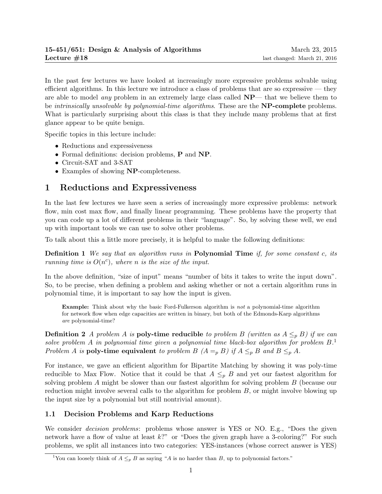In the past few lectures we have looked at increasingly more expressive problems solvable using efficient algorithms. In this lecture we introduce a class of problems that are so expressive — they are able to model *any* problem in an extremely large class called  $NP$ — that we believe them to be *intrinsically unsolvable by polynomial-time algorithms*. These are the **NP-complete** problems. What is particularly surprising about this class is that they include many problems that at first glance appear to be quite benign.

Specific topics in this lecture include:

- Reductions and expressiveness
- Formal definitions: decision problems, P and NP.
- Circuit-SAT and 3-SAT
- Examples of showing NP-completeness.

## 1 Reductions and Expressiveness

In the last few lectures we have seen a series of increasingly more expressive problems: network flow, min cost max flow, and finally linear programming. These problems have the property that you can code up a lot of different problems in their "language". So, by solving these well, we end up with important tools we can use to solve other problems.

To talk about this a little more precisely, it is helpful to make the following definitions:

**Definition 1** We say that an algorithm runs in **Polynomial Time** if, for some constant c, its running time is  $O(n^c)$ , where n is the size of the input.

In the above definition, "size of input" means "number of bits it takes to write the input down". So, to be precise, when defining a problem and asking whether or not a certain algorithm runs in polynomial time, it is important to say how the input is given.

Example: Think about why the basic Ford-Fulkerson algorithm is not a polynomial-time algorithm for network flow when edge capacities are written in binary, but both of the Edmonds-Karp algorithms are polynomial-time?

**Definition 2** A problem A is **poly-time reducible** to problem B (written as  $A \leq_{p} B$ ) if we can solve problem A in polynomial time given a polynomial time black-box algorithm for problem  $B^1$ . Problem A is poly-time equivalent to problem B  $(A =_p B)$  if  $A \leq_p B$  and  $B \leq_p A$ .

For instance, we gave an efficient algorithm for Bipartite Matching by showing it was poly-time reducible to Max Flow. Notice that it could be that  $A \leq_{p} B$  and yet our fastest algorithm for solving problem A might be slower than our fastest algorithm for solving problem B (because our reduction might involve several calls to the algorithm for problem  $B$ , or might involve blowing up the input size by a polynomial but still nontrivial amount).

### 1.1 Decision Problems and Karp Reductions

We consider *decision problems*: problems whose answer is YES or NO. E.g., "Does the given network have a flow of value at least  $k$ ?" or "Does the given graph have a 3-coloring?" For such problems, we split all instances into two categories: YES-instances (whose correct answer is YES)

<sup>&</sup>lt;sup>1</sup>You can loosely think of  $A \leq_{p} B$  as saying "A is no harder than B, up to polynomial factors."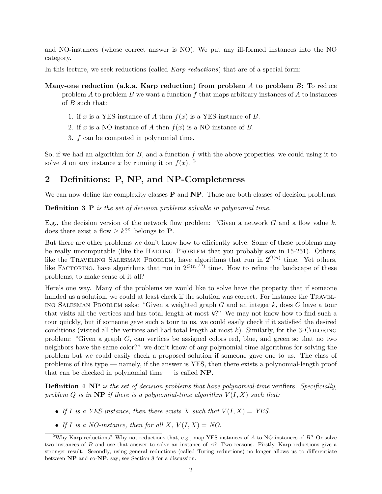and NO-instances (whose correct answer is NO). We put any ill-formed instances into the NO category.

In this lecture, we seek reductions (called *Karp reductions*) that are of a special form:

Many-one reduction (a.k.a. Karp reduction) from problem A to problem  $B$ : To reduce problem A to problem B we want a function f that maps arbitrary instances of A to instances of  $B$  such that:

- 1. if x is a YES-instance of A then  $f(x)$  is a YES-instance of B.
- 2. if x is a NO-instance of A then  $f(x)$  is a NO-instance of B.
- 3. f can be computed in polynomial time.

So, if we had an algorithm for  $B$ , and a function  $f$  with the above properties, we could using it to solve A on any instance x by running it on  $f(x)$ . <sup>2</sup>

## 2 Definitions: P, NP, and NP-Completeness

We can now define the complexity classes  $P$  and  $NP$ . These are both classes of decision problems.

**Definition 3 P** is the set of decision problems solvable in polynomial time.

E.g., the decision version of the network flow problem: "Given a network  $G$  and a flow value  $k$ , does there exist a flow  $\geq k$ ?" belongs to **P**.

But there are other problems we don't know how to efficiently solve. Some of these problems may be really uncomputable (like the HALTING PROBLEM that you probably saw in 15-251). Others, like the TRAVELING SALESMAN PROBLEM, have algorithms that run in  $2^{O(n)}$  time. Yet others, like FACTORING, have algorithms that run in  $2^{O(n^{1/3})}$  time. How to refine the landscape of these problems, to make sense of it all?

Here's one way. Many of the problems we would like to solve have the property that if someone handed us a solution, we could at least check if the solution was correct. For instance the TRAVEL-ING SALESMAN PROBLEM asks: "Given a weighted graph  $G$  and an integer  $k$ , does  $G$  have a tour that visits all the vertices and has total length at most k?" We may not know how to find such a tour quickly, but if someone gave such a tour to us, we could easily check if it satisfied the desired conditions (visited all the vertices and had total length at most  $k$ ). Similarly, for the 3-COLORING problem: "Given a graph  $G$ , can vertices be assigned colors red, blue, and green so that no two neighbors have the same color?" we don't know of any polynomial-time algorithms for solving the problem but we could easily check a proposed solution if someone gave one to us. The class of problems of this type — namely, if the answer is YES, then there exists a polynomial-length proof that can be checked in polynomial time  $-$  is called NP.

**Definition 4 NP** is the set of decision problems that have polynomial-time verifiers. Specificially, problem Q is in  $\mathbf{NP}$  if there is a polynomial-time algorithm  $V(I, X)$  such that:

- If I is a YES-instance, then there exists X such that  $V(I, X) = YES$ .
- If I is a NO-instance, then for all X,  $V(I, X) = NO$ .

<sup>&</sup>lt;sup>2</sup>Why Karp reductions? Why not reductions that, e.g., map YES-instances of A to NO-instances of B? Or solve two instances of B and use that answer to solve an instance of A? Two reasons. Firstly, Karp reductions give a stronger result. Secondly, using general reductions (called Turing reductions) no longer allows us to differentiate between NP and co-NP, say; see Section 8 for a discussion.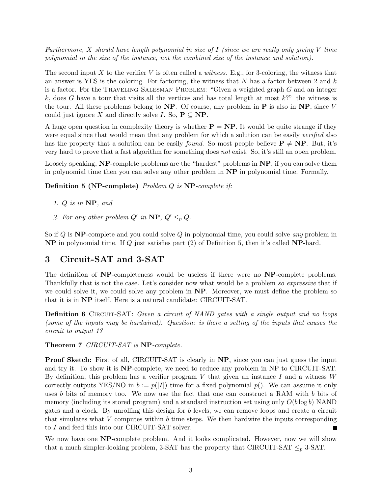Furthermore, X should have length polynomial in size of  $I$  (since we are really only giving V time polynomial in the size of the instance, not the combined size of the instance and solution).

The second input  $X$  to the verifier  $V$  is often called a *witness*. E.g., for 3-coloring, the witness that an answer is YES is the coloring. For factoring, the witness that  $N$  has a factor between 2 and  $k$ is a factor. For the TRAVELING SALESMAN PROBLEM: "Given a weighted graph  $G$  and an integer k, does G have a tour that visits all the vertices and has total length at most  $k$ ?" the witness is the tour. All these problems belong to  $NP$ . Of course, any problem in P is also in  $NP$ , since V could just ignore X and directly solve I. So,  $P \subseteq NP$ .

A huge open question in complexity theory is whether  $P = NP$ . It would be quite strange if they were equal since that would mean that any problem for which a solution can be easily *verified* also has the property that a solution can be easily *found*. So most people believe  $P \neq NP$ . But, it's very hard to prove that a fast algorithm for something does not exist. So, it's still an open problem.

Loosely speaking, **NP**-complete problems are the "hardest" problems in **NP**, if you can solve them in polynomial time then you can solve any other problem in NP in polynomial time. Formally,

#### Definition 5 (NP-complete) Problem Q is NP-complete if:

- 1. Q is in NP, and
- 2. For any other problem  $Q'$  in  $\mathbf{NP}, Q' \leq_p Q$ .

So if  $Q$  is NP-complete and you could solve  $Q$  in polynomial time, you could solve any problem in NP in polynomial time. If Q just satisfies part (2) of Definition 5, then it's called NP-hard.

### 3 Circuit-SAT and 3-SAT

The definition of NP-completeness would be useless if there were no NP-complete problems. Thankfully that is not the case. Let's consider now what would be a problem so expressive that if we could solve it, we could solve any problem in  $\bf NP$ . Moreover, we must define the problem so that it is in NP itself. Here is a natural candidate: CIRCUIT-SAT.

Definition 6 CIRCUIT-SAT: Given a circuit of NAND gates with a single output and no loops (some of the inputs may be hardwired). Question: is there a setting of the inputs that causes the circuit to output 1?

Theorem 7 CIRCUIT-SAT is NP-complete.

**Proof Sketch:** First of all, CIRCUIT-SAT is clearly in NP, since you can just guess the input and try it. To show it is NP-complete, we need to reduce any problem in NP to CIRCUIT-SAT. By definition, this problem has a verifier program V that given an instance I and a witness  $W$ correctly outputs YES/NO in  $b := p(|I|)$  time for a fixed polynomial  $p()$ . We can assume it only uses b bits of memory too. We now use the fact that one can construct a RAM with b bits of memory (including its stored program) and a standard instruction set using only  $O(b \log b)$  NAND gates and a clock. By unrolling this design for b levels, we can remove loops and create a circuit that simulates what  $V$  computes within  $b$  time steps. We then hardwire the inputs corresponding to I and feed this into our CIRCUIT-SAT solver.

We now have one NP-complete problem. And it looks complicated. However, now we will show that a much simpler-looking problem, 3-SAT has the property that CIRCUIT-SAT  $\leq_p 3$ -SAT.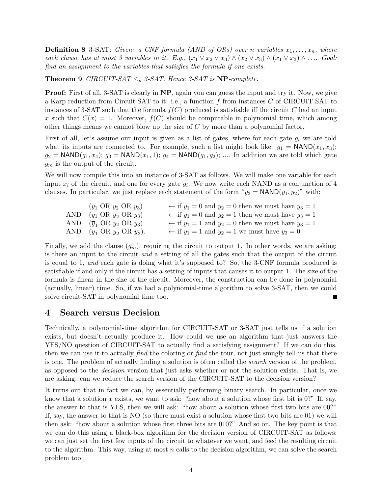**Definition 8** 3-SAT: Given: a CNF formula (AND of ORs) over n variables  $x_1, \ldots, x_n$ , where each clause has at most 3 variables in it. E.g.,  $(x_1 \vee x_2 \vee \overline{x}_3) \wedge (\overline{x}_2 \vee x_3) \wedge (x_1 \vee x_3) \wedge \ldots$  Goal: find an assignment to the variables that satisfies the formula if one exists.

**Theorem 9** CIRCUIT-SAT  $\leq_p$  3-SAT. Hence 3-SAT is NP-complete.

**Proof:** First of all, 3-SAT is clearly in NP, again you can guess the input and try it. Now, we give a Karp reduction from Circuit-SAT to it: i.e., a function f from instances C of CIRCUIT-SAT to instances of 3-SAT such that the formula  $f(C)$  produced is satisfiable iff the circuit C had an input x such that  $C(x) = 1$ . Moreover,  $f(C)$  should be computable in polynomial time, which among other things means we cannot blow up the size of  $C$  by more than a polynomial factor.

First of all, let's assume our input is given as a list of gates, where for each gate  $g_i$  we are told what its inputs are connected to. For example, such a list might look like:  $g_1 = \text{NAND}(x_1, x_3)$ ;  $g_2 = \text{NAND}(g_1, x_4); g_3 = \text{NAND}(x_1, 1); g_4 = \text{NAND}(g_1, g_2); \dots$  In addition we are told which gate  $g_m$  is the output of the circuit.

We will now compile this into an instance of 3-SAT as follows. We will make one variable for each input  $x_i$  of the circuit, and one for every gate  $g_i$ . We now write each NAND as a conjunction of 4 clauses. In particular, we just replace each statement of the form " $y_3 = \text{NAND}(y_1, y_2)$ " with:

| $(y_1 \text{ OR } y_2 \text{ OR } y_3)$                                       | $\leftarrow$ if $y_1 = 0$ and $y_2 = 0$ then we must have $y_3 = 1$ |
|-------------------------------------------------------------------------------|---------------------------------------------------------------------|
| AND $(y_1 \text{ OR } \overline{y}_2 \text{ OR } y_3)$                        | $\leftarrow$ if $y_1 = 0$ and $y_2 = 1$ then we must have $y_3 = 1$ |
| AND $(\overline{y}_1 \text{ OR } y_2 \text{ OR } y_3)$                        | $\leftarrow$ if $y_1 = 1$ and $y_2 = 0$ then we must have $y_3 = 1$ |
| AND $(\overline{y}_1 \text{ OR } \overline{y}_2 \text{ OR } \overline{y}_3).$ | $\leftarrow$ if $y_1 = 1$ and $y_2 = 1$ we must have $y_3 = 0$      |

Finally, we add the clause  $(g_m)$ , requiring the circuit to output 1. In other words, we are asking: is there an input to the circuit and a setting of all the gates such that the output of the circuit is equal to 1, and each gate is doing what it's supposed to? So, the 3-CNF formula produced is satisfiable if and only if the circuit has a setting of inputs that causes it to output 1. The size of the formula is linear in the size of the circuit. Moreover, the construction can be done in polynomial (actually, linear) time. So, if we had a polynomial-time algorithm to solve 3-SAT, then we could solve circuit-SAT in polynomial time too.

## 4 Search versus Decision

Technically, a polynomial-time algorithm for CIRCUIT-SAT or 3-SAT just tells us if a solution exists, but doesn't actually produce it. How could we use an algorithm that just answers the YES/NO question of CIRCUIT-SAT to actually find a satisfying assignment? If we can do this, then we can use it to actually find the coloring or find the tour, not just smugly tell us that there is one. The problem of actually finding a solution is often called the search version of the problem, as opposed to the decision version that just asks whether or not the solution exists. That is, we are asking: can we reduce the search version of the CIRCUIT-SAT to the decision version?

It turns out that in fact we can, by essentially performing binary search. In particular, once we know that a solution x exists, we want to ask: "how about a solution whose first bit is  $0$ ?" If, say, the answer to that is YES, then we will ask: "how about a solution whose first two bits are 00?" If, say, the answer to that is NO (so there must exist a solution whose first two bits are 01) we will then ask: "how about a solution whose first three bits are 010?" And so on. The key point is that we can do this using a black-box algorithm for the decision version of CIRCUIT-SAT as follows: we can just set the first few inputs of the circuit to whatever we want, and feed the resulting circuit to the algorithm. This way, using at most  $n$  calls to the decision algorithm, we can solve the search problem too.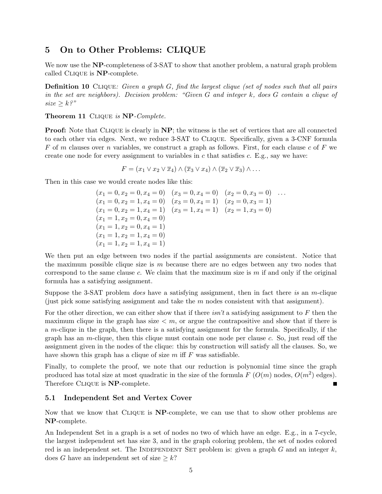## 5 On to Other Problems: CLIQUE

We now use the NP-completeness of 3-SAT to show that another problem, a natural graph problem called Clique is NP-complete.

Definition 10 CLIQUE: Given a graph G, find the largest clique (set of nodes such that all pairs in the set are neighbors). Decision problem: "Given G and integer k, does G contain a clique of  $size \geq k$ ?"

#### Theorem 11 CLIQUE is NP-Complete.

**Proof:** Note that CLIQUE is clearly in NP; the witness is the set of vertices that are all connected to each other via edges. Next, we reduce 3-SAT to Clique. Specifically, given a 3-CNF formula F of m clauses over n variables, we construct a graph as follows. First, for each clause c of F we create one node for every assignment to variables in c that satisfies c. E.g., say we have:

$$
F = (x_1 \vee x_2 \vee \overline{x}_4) \wedge (\overline{x}_3 \vee x_4) \wedge (\overline{x}_2 \vee \overline{x}_3) \wedge \dots
$$

Then in this case we would create nodes like this:

$$
(x_1 = 0, x_2 = 0, x_4 = 0) \quad (x_3 = 0, x_4 = 0) \quad (x_2 = 0, x_3 = 0) \quad \dots
$$
  
\n
$$
(x_1 = 0, x_2 = 1, x_4 = 0) \quad (x_3 = 0, x_4 = 1) \quad (x_2 = 0, x_3 = 1)
$$
  
\n
$$
(x_1 = 0, x_2 = 1, x_4 = 1) \quad (x_3 = 1, x_4 = 1) \quad (x_2 = 1, x_3 = 0)
$$
  
\n
$$
(x_1 = 1, x_2 = 0, x_4 = 1)
$$
  
\n
$$
(x_1 = 1, x_2 = 1, x_4 = 0)
$$
  
\n
$$
(x_1 = 1, x_2 = 1, x_4 = 1)
$$

We then put an edge between two nodes if the partial assignments are consistent. Notice that the maximum possible clique size is  $m$  because there are no edges between any two nodes that correspond to the same clause c. We claim that the maximum size is m if and only if the original formula has a satisfying assignment.

Suppose the 3-SAT problem *does* have a satisfying assignment, then in fact there is an m-clique (just pick some satisfying assignment and take the  $m$  nodes consistent with that assignment).

For the other direction, we can either show that if there *isn't* a satisfying assignment to F then the maximum clique in the graph has size  $\lt m$ , or argue the contrapositive and show that if there is a m-clique in the graph, then there is a satisfying assignment for the formula. Specifically, if the graph has an  $m$ -clique, then this clique must contain one node per clause  $c$ . So, just read off the assignment given in the nodes of the clique: this by construction will satisfy all the clauses. So, we have shown this graph has a clique of size  $m$  iff  $F$  was satisfiable.

Finally, to complete the proof, we note that our reduction is polynomial time since the graph produced has total size at most quadratic in the size of the formula  $F( O(m)$  nodes,  $O(m^2)$  edges). Therefore CLIQUE is **NP**-complete.

#### 5.1 Independent Set and Vertex Cover

Now that we know that Clique is NP-complete, we can use that to show other problems are NP-complete.

An Independent Set in a graph is a set of nodes no two of which have an edge. E.g., in a 7-cycle, the largest independent set has size 3, and in the graph coloring problem, the set of nodes colored red is an independent set. The INDEPENDENT SET problem is: given a graph  $G$  and an integer  $k$ , does G have an independent set of size  $\geq k$ ?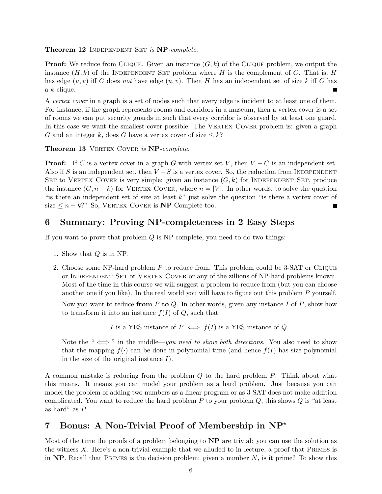#### Theorem 12 INDEPENDENT SET is NP-complete.

**Proof:** We reduce from CLIQUE. Given an instance  $(G, k)$  of the CLIQUE problem, we output the instance  $(H, k)$  of the INDEPENDENT SET problem where H is the complement of G. That is, H has edge  $(u, v)$  iff G does not have edge  $(u, v)$ . Then H has an independent set of size k iff G has a k-clique.

A vertex cover in a graph is a set of nodes such that every edge is incident to at least one of them. For instance, if the graph represents rooms and corridors in a museum, then a vertex cover is a set of rooms we can put security guards in such that every corridor is observed by at least one guard. In this case we want the smallest cover possible. The VERTEX COVER problem is: given a graph G and an integer k, does G have a vertex cover of size  $\leq k$ ?

Theorem 13 VERTEX COVER is NP-complete.

**Proof:** If C is a vertex cover in a graph G with vertex set V, then  $V - C$  is an independent set. Also if S is an independent set, then  $V-S$  is a vertex cover. So, the reduction from INDEPENDENT SET to VERTEX COVER is very simple: given an instance  $(G, k)$  for INDEPENDENT SET, produce the instance  $(G, n - k)$  for VERTEX COVER, where  $n = |V|$ . In other words, to solve the question "is there an independent set of size at least  $k$ " just solve the question "is there a vertex cover of size  $\leq n - k$ ?" So, VERTEX COVER is **NP**-Complete too.

## 6 Summary: Proving NP-completeness in 2 Easy Steps

If you want to prove that problem Q is NP-complete, you need to do two things:

- 1. Show that Q is in NP.
- 2. Choose some NP-hard problem  $P$  to reduce from. This problem could be 3-SAT or CLIQUE or Independent Set or Vertex Cover or any of the zillions of NP-hard problems known. Most of the time in this course we will suggest a problem to reduce from (but you can choose another one if you like). In the real world you will have to figure out this problem P yourself.

Now you want to reduce from P to Q. In other words, given any instance I of P, show how to transform it into an instance  $f(I)$  of  $Q$ , such that

*I* is a YES-instance of  $P \iff f(I)$  is a YES-instance of Q.

Note the " $\iff$ " in the middle—you need to show both directions. You also need to show that the mapping  $f(.)$  can be done in polynomial time (and hence  $f(I)$  has size polynomial in the size of the original instance  $I$ ).

A common mistake is reducing from the problem Q to the hard problem P. Think about what this means. It means you can model your problem as a hard problem. Just because you can model the problem of adding two numbers as a linear program or as 3-SAT does not make addition complicated. You want to reduce the hard problem  $P$  to your problem  $Q$ , this shows  $Q$  is "at least as hard" as P.

# 7 Bonus: A Non-Trivial Proof of Membership in  $NP^*$

Most of the time the proofs of a problem belonging to  $NP$  are trivial: you can use the solution as the witness X. Here's a non-trivial example that we alluded to in lecture, a proof that Primes is in NP. Recall that PRIMES is the decision problem: given a number  $N$ , is it prime? To show this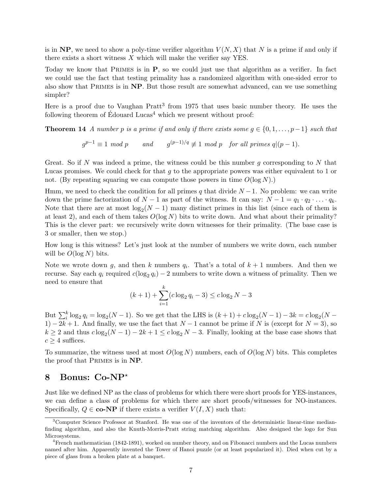is in NP, we need to show a poly-time verifier algorithm  $V(N, X)$  that N is a prime if and only if there exists a short witness  $X$  which will make the verifier say YES.

Today we know that Primes is in P, so we could just use that algorithm as a verifier. In fact we could use the fact that testing primality has a randomized algorithm with one-sided error to also show that Primes is in NP. But those result are somewhat advanced, can we use something simpler?

Here is a proof due to Vaughan  $Prat^3$  from 1975 that uses basic number theory. He uses the following theorem of  $\acute{E}$ douard Lucas<sup>4</sup> which we present without proof:

**Theorem 14** A number p is a prime if and only if there exists some  $g \in \{0, 1, \ldots, p-1\}$  such that

 $g^{p-1} \equiv 1 \mod p$  and  $g^{(p-1)/q} \not\equiv 1 \mod p$  for all primes  $q|(p-1)$ .

Great. So if N was indeed a prime, the witness could be this number g corresponding to N that Lucas promises. We could check for that  $g$  to the appropriate powers was either equivalent to 1 or not. (By repeating squaring we can compute those powers in time  $O(\log N)$ .)

Hmm, we need to check the condition for all primes q that divide  $N-1$ . No problem: we can write down the prime factorization of  $N-1$  as part of the witness. It can say:  $N-1 = q_1 \cdot q_2 \cdot \ldots \cdot q_k$ . Note that there are at most  $\log_2(N-1)$  many distinct primes in this list (since each of them is at least 2), and each of them takes  $O(\log N)$  bits to write down. And what about their primality? This is the clever part: we recursively write down witnesses for their primality. (The base case is 3 or smaller, then we stop.)

How long is this witness? Let's just look at the number of numbers we write down, each number will be  $O(\log N)$  bits.

Note we wrote down g, and then k numbers  $q_i$ . That's a total of  $k+1$  numbers. And then we recurse. Say each  $q_i$  required  $c(\log_2 q_i) - 2$  numbers to write down a witness of primality. Then we need to ensure that

$$
(k+1) + \sum_{i=1}^{k} (c \log_2 q_i - 3) \leq c \log_2 N - 3
$$

But  $\sum_{i}^{k} \log_2 q_i = \log_2(N-1)$ . So we get that the LHS is  $(k+1) + c \log_2(N-1) - 3k = c \log_2(N-1)$ 1) − 2k + 1. And finally, we use the fact that  $N-1$  cannot be prime if N is (except for  $N=3$ ), so  $k \geq 2$  and thus  $c \log_2(N-1) - 2k + 1 \leq c \log_2 N - 3$ . Finally, looking at the base case shows that  $c > 4$  suffices.

To summarize, the witness used at most  $O(\log N)$  numbers, each of  $O(\log N)$  bits. This completes the proof that Primes is in NP.

## 8 Bonus: Co-NP<sup>\*</sup>

Just like we defined NP as the class of problems for which there were short proofs for YES-instances, we can define a class of problems for which there are short proofs/witnesses for NO-instances. Specifically,  $Q \in \mathbf{co-NP}$  if there exists a verifier  $V(I, X)$  such that:

<sup>3</sup>Computer Science Professor at Stanford. He was one of the inventors of the deterministic linear-time medianfinding algorithm, and also the Knuth-Morris-Pratt string matching algorithm. Also designed the logo for Sun Microsystems.

<sup>4</sup>French mathematician (1842-1891), worked on number theory, and on Fibonacci numbers and the Lucas numbers named after him. Apparently invented the Tower of Hanoi puzzle (or at least popularized it). Died when cut by a piece of glass from a broken plate at a banquet.